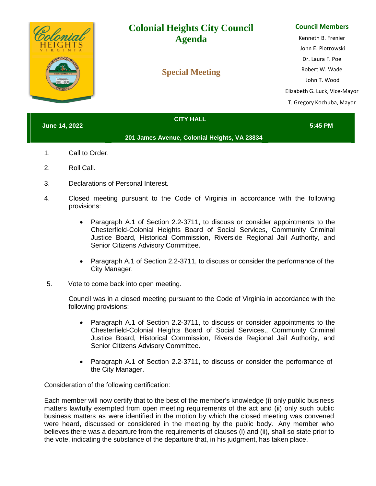| mial<br><b>INCORPORATED 1942</b> | <b>Colonial Heights City Council</b><br><b>Agenda</b><br><b>Special Meeting</b> | <b>Council Members</b><br>Kenneth B. Frenier<br>John E. Piotrowski<br>Dr. Laura F. Poe<br>Robert W. Wade<br>John T. Wood<br>Elizabeth G. Luck, Vice-Mayor<br>T. Gregory Kochuba, Mayor |
|----------------------------------|---------------------------------------------------------------------------------|----------------------------------------------------------------------------------------------------------------------------------------------------------------------------------------|
| <b>June 14, 2022</b>             | <b>CITY HALL</b>                                                                | 5:45 PM                                                                                                                                                                                |

- **201 James Avenue, Colonial Heights, VA 23834**
- 1. Call to Order.
- 2. Roll Call.
- 3. Declarations of Personal Interest.
- 4. Closed meeting pursuant to the Code of Virginia in accordance with the following provisions:
	- Paragraph A.1 of Section 2.2-3711, to discuss or consider appointments to the Chesterfield-Colonial Heights Board of Social Services, Community Criminal Justice Board, Historical Commission, Riverside Regional Jail Authority, and Senior Citizens Advisory Committee.
	- Paragraph A.1 of Section 2.2-3711, to discuss or consider the performance of the City Manager.
- 5. Vote to come back into open meeting.

Council was in a closed meeting pursuant to the Code of Virginia in accordance with the following provisions:

- Paragraph A.1 of Section 2.2-3711, to discuss or consider appointments to the Chesterfield-Colonial Heights Board of Social Services,, Community Criminal Justice Board, Historical Commission, Riverside Regional Jail Authority, and Senior Citizens Advisory Committee.
- Paragraph A.1 of Section 2.2-3711, to discuss or consider the performance of the City Manager.

Consideration of the following certification:

Each member will now certify that to the best of the member's knowledge (i) only public business matters lawfully exempted from open meeting requirements of the act and (ii) only such public business matters as were identified in the motion by which the closed meeting was convened were heard, discussed or considered in the meeting by the public body. Any member who believes there was a departure from the requirements of clauses (i) and (ii), shall so state prior to the vote, indicating the substance of the departure that, in his judgment, has taken place.